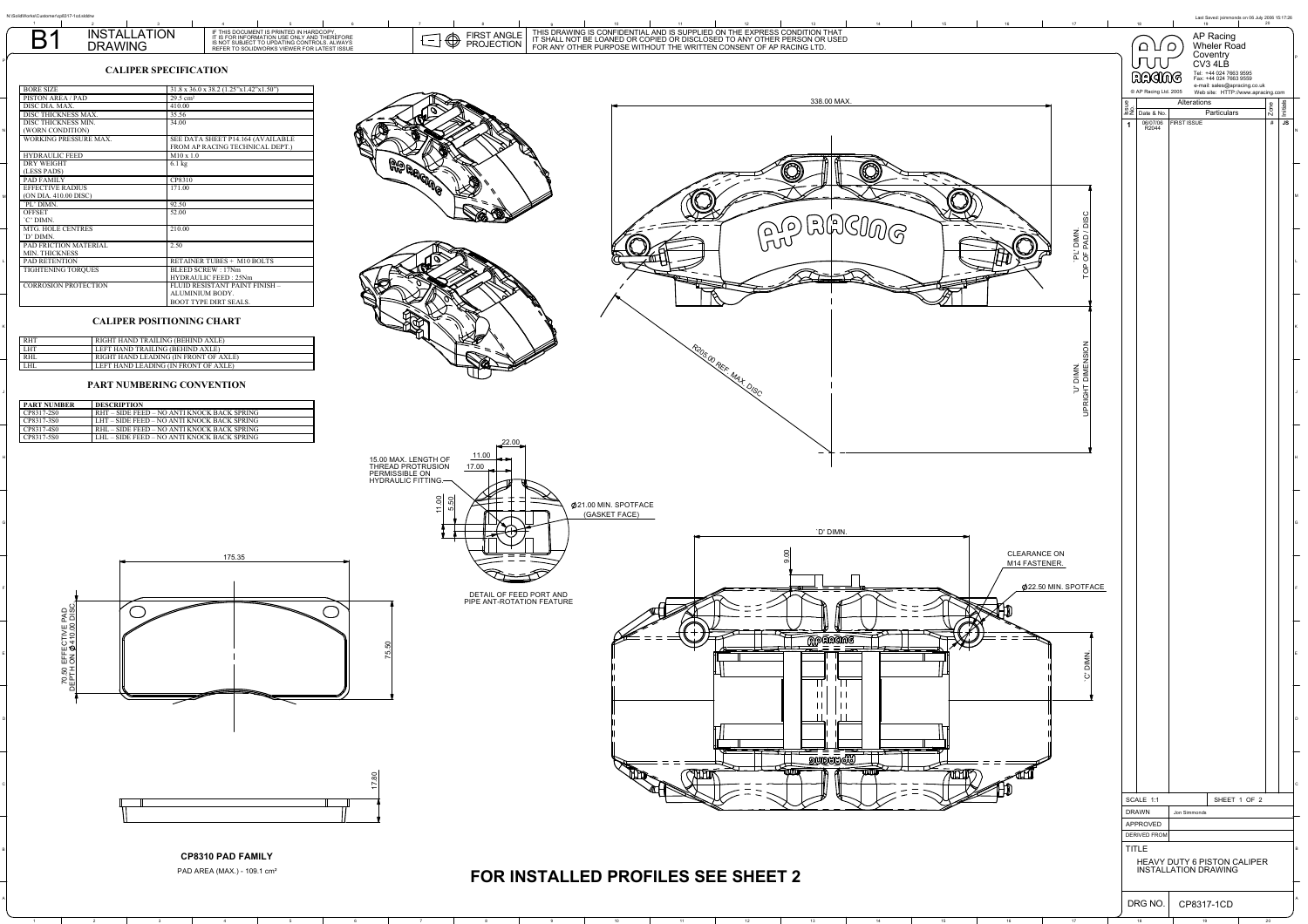